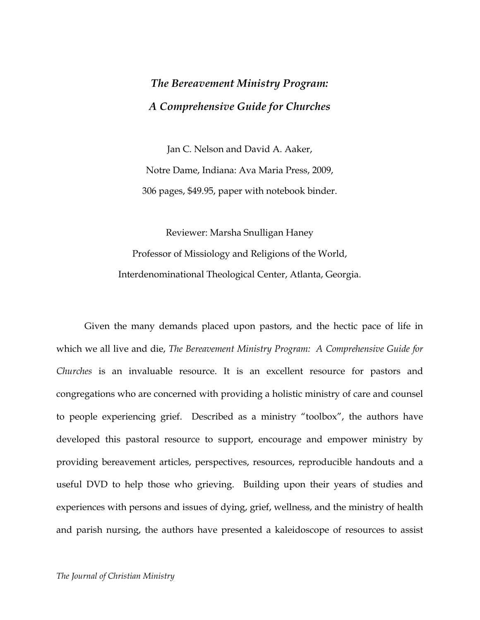## *The Bereavement Ministry Program: A Comprehensive Guide for Churches*

Jan C. Nelson and David A. Aaker, Notre Dame, Indiana: Ava Maria Press, 2009, 306 pages, \$49.95, paper with notebook binder.

Reviewer: Marsha Snulligan Haney Professor of Missiology and Religions of the World, Interdenominational Theological Center, Atlanta, Georgia.

Given the many demands placed upon pastors, and the hectic pace of life in which we all live and die, *The Bereavement Ministry Program: A Comprehensive Guide for Churches* is an invaluable resource. It is an excellent resource for pastors and congregations who are concerned with providing a holistic ministry of care and counsel to people experiencing grief. Described as a ministry "toolbox", the authors have developed this pastoral resource to support, encourage and empower ministry by providing bereavement articles, perspectives, resources, reproducible handouts and a useful DVD to help those who grieving. Building upon their years of studies and experiences with persons and issues of dying, grief, wellness, and the ministry of health and parish nursing, the authors have presented a kaleidoscope of resources to assist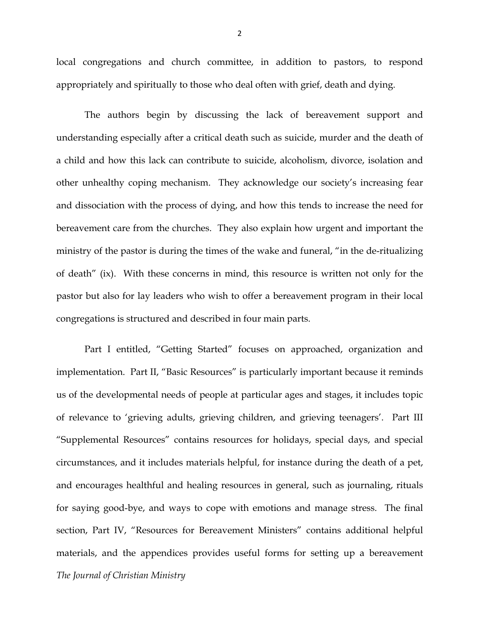local congregations and church committee, in addition to pastors, to respond appropriately and spiritually to those who deal often with grief, death and dying.

The authors begin by discussing the lack of bereavement support and understanding especially after a critical death such as suicide, murder and the death of a child and how this lack can contribute to suicide, alcoholism, divorce, isolation and other unhealthy coping mechanism. They acknowledge our society's increasing fear and dissociation with the process of dying, and how this tends to increase the need for bereavement care from the churches. They also explain how urgent and important the ministry of the pastor is during the times of the wake and funeral, "in the de-ritualizing of death" (ix). With these concerns in mind, this resource is written not only for the pastor but also for lay leaders who wish to offer a bereavement program in their local congregations is structured and described in four main parts.

*The Journal of Christian Ministry* Part I entitled, "Getting Started" focuses on approached, organization and implementation. Part II, "Basic Resources" is particularly important because it reminds us of the developmental needs of people at particular ages and stages, it includes topic of relevance to 'grieving adults, grieving children, and grieving teenagers'. Part III "Supplemental Resources" contains resources for holidays, special days, and special circumstances, and it includes materials helpful, for instance during the death of a pet, and encourages healthful and healing resources in general, such as journaling, rituals for saying good-bye, and ways to cope with emotions and manage stress. The final section, Part IV, "Resources for Bereavement Ministers" contains additional helpful materials, and the appendices provides useful forms for setting up a bereavement